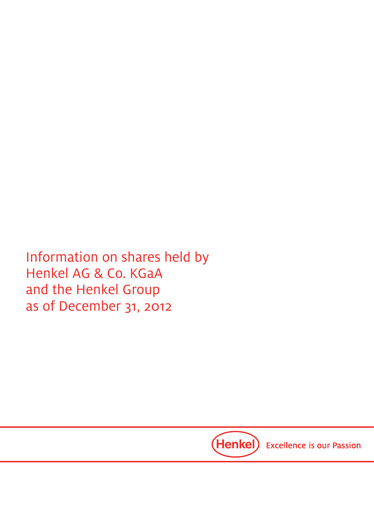Information on shares held by Henkel AG & Co. KGaA and the Henkel Group as of December 31, 2012

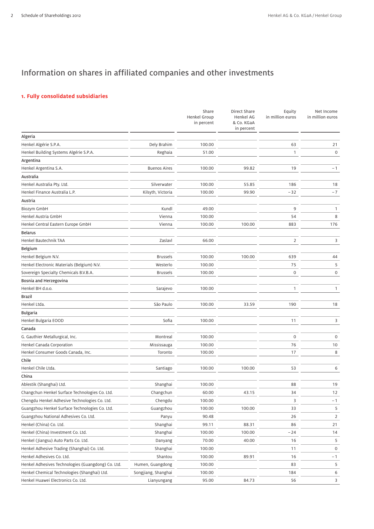# Information on shares in affiliated companies and other investments

## **1. Fully consolidated subsidiaries**

|                                                    |                     | Share<br><b>Henkel Group</b><br>in percent | <b>Direct Share</b><br><b>Henkel AG</b><br>& Co. KGaA<br>in percent | Equity<br>in million euros | Net Income<br>in million euros |
|----------------------------------------------------|---------------------|--------------------------------------------|---------------------------------------------------------------------|----------------------------|--------------------------------|
| Algeria                                            |                     |                                            |                                                                     |                            |                                |
| Henkel Algérie S.P.A.                              | Dely Brahim         | 100.00                                     |                                                                     | 63                         | 21                             |
| Henkel Building Systems Algérie S.P.A.             | Reghaia             | 51.00                                      |                                                                     | 1                          | 0                              |
| Argentina                                          |                     |                                            |                                                                     |                            |                                |
| Henkel Argentina S.A.                              | <b>Buenos Aires</b> | 100.00                                     | 99.82                                                               | 19                         | $-1$                           |
| Australia                                          |                     |                                            |                                                                     |                            |                                |
| Henkel Australia Pty. Ltd.                         | Silverwater         | 100.00                                     | 55.85                                                               | 186                        | 18                             |
| Henkel Finance Australia L.P.                      | Kilsyth, Victoria   | 100.00                                     | 99.90                                                               | $-32$                      | $-7$                           |
| Austria                                            |                     |                                            |                                                                     |                            |                                |
| Biozym GmbH                                        | Kundl               | 49.00                                      |                                                                     | 9                          | 1                              |
| Henkel Austria GmbH                                | Vienna              | 100.00                                     |                                                                     | 54                         | 8                              |
| Henkel Central Eastern Europe GmbH                 | Vienna              | 100.00                                     | 100.00                                                              | 883                        | 176                            |
| <b>Belarus</b>                                     |                     |                                            |                                                                     |                            |                                |
| Henkel Bautechnik TAA                              | Zaslavl             | 66.00                                      |                                                                     | $\overline{2}$             | 3                              |
| <b>Belgium</b>                                     |                     |                                            |                                                                     |                            |                                |
| Henkel Belgium N.V.                                | <b>Brussels</b>     | 100.00                                     | 100.00                                                              | 639                        | 44                             |
| Henkel Electronic Materials (Belgium) N.V.         | Westerlo            | 100.00                                     |                                                                     | 75                         | 5                              |
| Sovereign Specialty Chemicals B.V.B.A.             | <b>Brussels</b>     | 100.00                                     |                                                                     | $\mathsf{O}\xspace$        | 0                              |
| Bosnia and Herzegovina                             |                     |                                            |                                                                     |                            |                                |
| Henkel BH d.o.o.                                   | Sarajevo            | 100.00                                     |                                                                     | $\mathbf{1}$               | 1                              |
| Brazil                                             |                     |                                            |                                                                     |                            |                                |
| Henkel Ltda.                                       | São Paulo           | 100.00                                     | 33.59                                                               | 190                        | 18                             |
| <b>Bulgaria</b>                                    |                     |                                            |                                                                     |                            |                                |
| Henkel Bulgaria EOOD                               | Sofia               | 100.00                                     |                                                                     | 11                         | 3                              |
| Canada                                             |                     |                                            |                                                                     |                            |                                |
| G. Gauthier Metallurgical, Inc.                    | Montreal            | 100.00                                     |                                                                     | $\mathbf 0$                | 0                              |
| Henkel Canada Corporation                          | Mississauga         | 100.00                                     |                                                                     | 76                         | 10                             |
| Henkel Consumer Goods Canada, Inc.                 | Toronto             | 100.00                                     |                                                                     | 17                         | 8                              |
| Chile                                              |                     |                                            |                                                                     |                            |                                |
| Henkel Chile Ltda.                                 | Santiago            | 100.00                                     | 100.00                                                              | 53                         | 6                              |
| China                                              |                     |                                            |                                                                     |                            |                                |
| Ablestik (Shanghai) Ltd.                           | Shanghai            | 100.00                                     |                                                                     | 88                         | 19                             |
| Changchun Henkel Surface Technologies Co. Ltd.     | Changchun           | 60.00                                      | 43.15                                                               | 34                         | 12                             |
| Chengdu Henkel Adhesive Technologies Co. Ltd.      | Chengdu             | 100.00                                     |                                                                     | 3                          | $-1$                           |
| Guangzhou Henkel Surface Technologies Co. Ltd.     | Guangzhou           | 100.00                                     | 100.00                                                              | 33                         | 5                              |
| Guangzhou National Adhesives Co. Ltd.              | Panyu               | 90.48                                      |                                                                     | 26                         | 2                              |
| Henkel (China) Co. Ltd.                            | Shanghai            | 99.11                                      | 88.31                                                               | 86                         | 21                             |
| Henkel (China) Investment Co. Ltd.                 | Shanghai            | 100.00                                     | 100.00                                                              | $-24$                      | 14                             |
| Henkel (Jiangsu) Auto Parts Co. Ltd.               | Danyang             | 70.00                                      | 40.00                                                               | 16                         | 5                              |
| Henkel Adhesive Trading (Shanghai) Co. Ltd.        | Shanghai            | 100.00                                     |                                                                     | 11                         | 0                              |
| Henkel Adhesives Co. Ltd.                          | Shantou             | 100.00                                     | 89.91                                                               | 16                         | $-1$                           |
| Henkel Adhesives Technologies (Guangdong) Co. Ltd. | Humen, Guangdong    | 100.00                                     |                                                                     | 83                         | 5                              |
| Henkel Chemical Technologies (Shanghai) Ltd.       | Songjiang, Shanghai | 100.00                                     |                                                                     | 184                        | 6                              |
| Henkel Huawei Electronics Co. Ltd.                 | Lianyungang         | 95.00                                      | 84.73                                                               | 56                         | 3                              |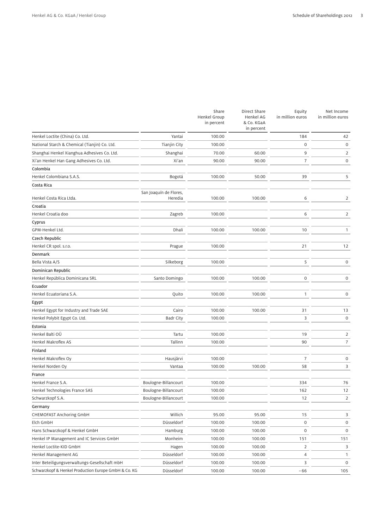|                                                      |                                   | Share<br><b>Henkel Group</b><br>in percent | Direct Share<br><b>Henkel AG</b><br>& Co. KGaA<br>in percent | Equity<br>in million euros | Net Income<br>in million euros |
|------------------------------------------------------|-----------------------------------|--------------------------------------------|--------------------------------------------------------------|----------------------------|--------------------------------|
| Henkel Loctite (China) Co. Ltd.                      | Yantai                            | 100.00                                     |                                                              | 184                        | 42                             |
| National Starch & Chemical (Tianjin) Co. Ltd.        | <b>Tianjin City</b>               | 100.00                                     |                                                              | $\boldsymbol{0}$           | $\mathbf 0$                    |
| Shanghai Henkel Xianghua Adhesives Co. Ltd.          | Shanghai                          | 70.00                                      | 60.00                                                        | 9                          | 2                              |
| Xi'an Henkel Han Gang Adhesives Co. Ltd.             | Xi'an                             | 90.00                                      | 90.00                                                        | $\overline{7}$             | $\mathsf{O}\xspace$            |
| Colombia                                             |                                   |                                            |                                                              |                            |                                |
| Henkel Colombiana S.A.S.                             | Bogotá                            | 100.00                                     | 50.00                                                        | 39                         | 5                              |
| Costa Rica                                           |                                   |                                            |                                                              |                            |                                |
| Henkel Costa Rica Ltda.                              | San Joaquín de Flores,<br>Heredia | 100.00                                     | 100.00                                                       | 6                          | $\overline{2}$                 |
| Croatia                                              |                                   |                                            |                                                              |                            |                                |
| Henkel Croatia doo                                   | Zagreb                            | 100.00                                     |                                                              | 6                          | $\overline{2}$                 |
| Cyprus                                               |                                   |                                            |                                                              |                            |                                |
| GPM-Henkel Ltd.                                      | Dhali                             | 100.00                                     | 100.00                                                       | 10                         | $\mathbf{1}$                   |
| Czech Republic                                       |                                   |                                            |                                                              |                            |                                |
| Henkel CR spol. s.r.o.                               | Prague                            | 100.00                                     |                                                              | 21                         | 12                             |
| Denmark                                              |                                   |                                            |                                                              |                            |                                |
| Bella Vista A/S                                      | Silkeborg                         | 100.00                                     |                                                              | 5                          | 0                              |
| Dominican Republic                                   |                                   |                                            |                                                              |                            |                                |
| Henkel República Dominicana SRL                      | Santo Domingo                     | 100.00                                     | 100.00                                                       | 0                          | 0                              |
| Ecuador                                              |                                   |                                            |                                                              |                            |                                |
| Henkel Ecuatoriana S.A.                              | Quito                             | 100.00                                     | 100.00                                                       | 1                          | 0                              |
| Egypt                                                |                                   |                                            |                                                              |                            |                                |
| Henkel Egypt for Industry and Trade SAE              | Cairo                             | 100.00                                     | 100.00                                                       | 31                         | 13                             |
| Henkel Polybit Egypt Co. Ltd.                        | <b>Badr City</b>                  | 100.00                                     |                                                              | 3                          | $\mathbf 0$                    |
| Estonia                                              |                                   |                                            |                                                              |                            |                                |
| Henkel Balti OÜ                                      | Tartu                             | 100.00                                     |                                                              | 19                         | $\overline{2}$                 |
| Henkel Makroflex AS                                  | Tallinn                           | 100.00                                     |                                                              | 90                         | $\overline{7}$                 |
| Finland                                              |                                   |                                            |                                                              |                            |                                |
| Henkel Makroflex Oy                                  | Hausjärvi                         | 100.00                                     |                                                              | 7                          | $\mathbf 0$                    |
| Henkel Norden Oy                                     | Vantaa                            | 100.00                                     | 100.00                                                       | 58                         | 3                              |
| France                                               |                                   |                                            |                                                              |                            |                                |
| Henkel France S.A.                                   | Boulogne-Billancourt              | 100.00                                     |                                                              | 334                        | 76                             |
| Henkel Technologies France SAS                       | Boulogne-Billancourt              | 100.00                                     |                                                              | 162                        | $12$                           |
| Schwarzkopf S.A.                                     | Boulogne-Billancourt              | 100.00                                     |                                                              | 12                         | $\overline{2}$                 |
| Germany                                              |                                   |                                            |                                                              |                            |                                |
| CHEMOFAST Anchoring GmbH                             | Willich                           | 95.00                                      | 95.00                                                        | 15                         | 3                              |
| Elch GmbH                                            | Düsseldorf                        | 100.00                                     | 100.00                                                       | $\mathbf 0$                | $\mathbf 0$                    |
| Hans Schwarzkopf & Henkel GmbH                       | Hamburg                           | 100.00                                     | 100.00                                                       | $\mathbf 0$                | $\mathsf{O}\xspace$            |
| Henkel IP Management and IC Services GmbH            | Monheim                           | 100.00                                     | 100.00                                                       | 151                        | 151                            |
| Henkel Loctite-KID GmbH                              | Hagen                             | 100.00                                     | 100.00                                                       | 2                          | 3                              |
| Henkel Management AG                                 | Düsseldorf                        | 100.00                                     | 100.00                                                       | 4                          | $\mathbf{1}$                   |
| Inter Beteiligungsverwaltungs-Gesellschaft mbH       | Düsseldorf                        | 100.00                                     | 100.00                                                       | 3                          | $\mathsf{O}$                   |
| Schwarzkopf & Henkel Production Europe GmbH & Co. KG | Düsseldorf                        | 100.00                                     | 100.00                                                       | $-66$                      | 105                            |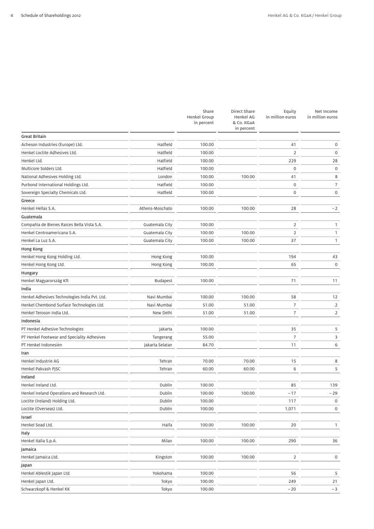|                                               |                 | Share<br><b>Henkel Group</b><br>in percent | Direct Share<br><b>Henkel AG</b><br>& Co. KGaA<br>in percent | Equity<br>in million euros | Net Income<br>in million euros |
|-----------------------------------------------|-----------------|--------------------------------------------|--------------------------------------------------------------|----------------------------|--------------------------------|
| <b>Great Britain</b>                          |                 |                                            |                                                              |                            |                                |
| Acheson Industries (Europe) Ltd.              | Hatfield        | 100.00                                     |                                                              | 41                         | 0                              |
| Henkel Loctite Adhesives Ltd.                 | Hatfield        | 100.00                                     |                                                              | $\overline{2}$             | $\mathsf{O}\xspace$            |
| Henkel Ltd.                                   | Hatfield        | 100.00                                     |                                                              | 229                        | 28                             |
| Multicore Solders Ltd.                        | Hatfield        | 100.00                                     |                                                              | $\mathbf 0$                | $\mathsf{O}\xspace$            |
| National Adhesives Holding Ltd.               | London          | 100.00                                     | 100.00                                                       | 41                         | 8                              |
| Purbond International Holdings Ltd.           | Hatfield        | 100.00                                     |                                                              | $\mathsf{O}\xspace$        | $\overline{7}$                 |
| Sovereign Specialty Chemicals Ltd.            | Hatfield        | 100.00                                     |                                                              | $\mathbf 0$                | 0                              |
| Greece                                        |                 |                                            |                                                              |                            |                                |
| Henkel Hellas S.A.                            | Athens-Moschato | 100.00                                     | 100.00                                                       | 28                         | $-2$                           |
| Guatemala                                     |                 |                                            |                                                              |                            |                                |
| Compañia de Bienes Raices Bella Vista S.A.    | Guatemala City  | 100.00                                     |                                                              | $\overline{2}$             | $\mathbf{1}$                   |
| Henkel Centroamericana S.A.                   | Guatemala City  | 100.00                                     | 100.00                                                       | $\overline{2}$             | $\mathbf{1}$                   |
| Henkel La Luz S.A.                            | Guatemala City  | 100.00                                     | 100.00                                                       | 37                         | 1                              |
| Hong Kong                                     |                 |                                            |                                                              |                            |                                |
| Henkel Hong Kong Holding Ltd.                 | Hong Kong       | 100.00                                     |                                                              | 194                        | 43                             |
| Henkel Hong Kong Ltd.                         | Hong Kong       | 100.00                                     |                                                              | 65                         | $\mathbf 0$                    |
| Hungary                                       |                 |                                            |                                                              |                            |                                |
| Henkel Magyarország Kft                       | <b>Budapest</b> | 100.00                                     |                                                              | 71                         | 11                             |
| India                                         |                 |                                            |                                                              |                            |                                |
| Henkel Adhesives Technologies India Pvt. Ltd. | Navi Mumbai     | 100.00                                     | 100.00                                                       | 58                         | 12                             |
| Henkel Chembond Surface Technologies Ltd.     | Navi Mumbai     | 51.00                                      | 51.00                                                        | $\overline{7}$             | 2                              |
| Henkel Teroson India Ltd.                     | New Delhi       | 51.00                                      | 51.00                                                        | $\overline{7}$             | 2                              |
| Indonesia                                     |                 |                                            |                                                              |                            |                                |
| PT Henkel Adhesive Technologies               | Jakarta         | 100.00                                     |                                                              | 35                         | 5                              |
| PT Henkel Footwear and Speciality Adhesives   | Tangerang       | 55.00                                      |                                                              | 7                          | 3                              |
| PT Henkel Indonesien                          | Jakarta Selatan | 84.70                                      |                                                              | 11                         | 6                              |
| Iran                                          |                 |                                            |                                                              |                            |                                |
| Henkel Industrie AG                           | Tehran          | 70.00                                      | 70.00                                                        | 15                         | 8                              |
| Henkel Pakvash PJSC                           | Tehran          | 60.00                                      | 60.00                                                        | 6                          | 5                              |
| Ireland                                       |                 |                                            |                                                              |                            |                                |
| Henkel Ireland Ltd.                           | Dublin          | 100.00                                     |                                                              | 85                         | 139                            |
| Henkel Ireland Operations and Research Ltd.   | Dublin          | 100.00                                     | 100.00                                                       | $-17$                      | - 29                           |
| Loctite (Ireland) Holding Ltd.                | Dublin          | 100.00                                     |                                                              | 117                        | $\boldsymbol{0}$               |
| Loctite (Overseas) Ltd.                       | Dublin          | 100.00                                     |                                                              | 1,071                      | 0                              |
| Israel                                        |                 |                                            |                                                              |                            |                                |
| Henkel Soad Ltd.                              | Haifa           | 100.00                                     | 100.00                                                       | 20                         | $\mathbf{1}$                   |
| Italy                                         |                 |                                            |                                                              |                            |                                |
| Henkel Italia S.p.A.                          | Milan           | 100.00                                     | 100.00                                                       | 290                        | 36                             |
| Jamaica                                       |                 |                                            |                                                              |                            |                                |
| Henkel Jamaica Ltd.                           | Kingston        | 100.00                                     | 100.00                                                       | $\overline{2}$             | 0                              |
| Japan                                         |                 |                                            |                                                              |                            |                                |
| Henkel Ablestik Japan Ltd.                    | Yokohama        | 100.00                                     |                                                              | 56                         | 5                              |
| Henkel Japan Ltd.                             | Tokyo           | 100.00                                     |                                                              | 249                        | 21                             |
| Schwarzkopf & Henkel KK                       | Tokyo           | 100.00                                     |                                                              | $-20$                      | $-3$                           |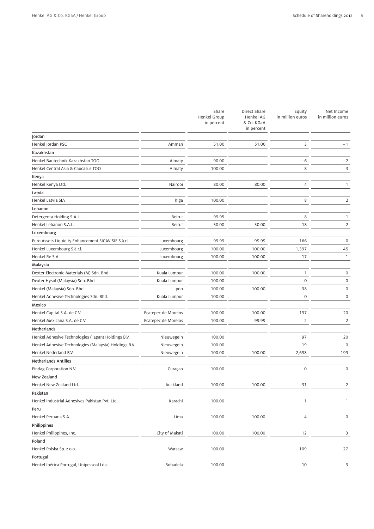|                                                       |                     | Share<br>Henkel Group<br>in percent | Direct Share<br>Henkel AG<br>& Co. KGaA<br>in percent | Equity<br>in million euros | Net Income<br>in million euros |
|-------------------------------------------------------|---------------------|-------------------------------------|-------------------------------------------------------|----------------------------|--------------------------------|
| Jordan                                                |                     |                                     |                                                       |                            |                                |
| Henkel Jordan PSC                                     | Amman               | 51.00                               | 51.00                                                 | 3                          | $-1$                           |
| Kazakhstan                                            |                     |                                     |                                                       |                            |                                |
| Henkel Bautechnik Kazakhstan TOO                      | Almaty              | 90.00                               |                                                       | $-6$                       | $-2$                           |
| Henkel Central Asia & Caucasus TOO                    | Almaty              | 100.00                              |                                                       | 8                          | 3                              |
| Kenya                                                 |                     |                                     |                                                       |                            |                                |
| Henkel Kenya Ltd.                                     | Nairobi             | 80.00                               | 80.00                                                 | 4                          | $\mathbf{1}$                   |
| Latvia                                                |                     |                                     |                                                       |                            |                                |
| Henkel Latvia SIA                                     | Riga                | 100.00                              |                                                       | 8                          | 2                              |
| Lebanon                                               |                     |                                     |                                                       |                            |                                |
| Detergenta Holding S.A.L.                             | <b>Beirut</b>       | 99.95                               |                                                       | 8                          | $-1$                           |
| Henkel Lebanon S.A.L.                                 | Beirut              | 50.00                               | 50.00                                                 | 18                         | $\overline{2}$                 |
| Luxembourg                                            |                     |                                     |                                                       |                            |                                |
| Euro Assets Liquidity Enhancement SICAV SIF S.à.r.l.  | Luxembourg          | 99.99                               | 99.99                                                 | 166                        | $\mathbf 0$                    |
| Henkel Luxembourg S.à.r.l.                            | Luxembourg          | 100.00                              | 100.00                                                | 1,397                      | 45                             |
| Henkel Re S.A.                                        | Luxembourg          | 100.00                              | 100.00                                                | 17                         | $\mathbf{1}$                   |
| Malaysia                                              |                     |                                     |                                                       |                            |                                |
| Dexter Electronic Materials (M) Sdn. Bhd.             | Kuala Lumpur        | 100.00                              | 100.00                                                | 1                          | 0                              |
| Dexter Hysol (Malaysia) Sdn. Bhd.                     | Kuala Lumpur        | 100.00                              |                                                       | $\mathbf 0$                | $\mathsf{O}\xspace$            |
| Henkel (Malaysia) Sdn. Bhd.                           | Ipoh                | 100.00                              | 100.00                                                | 38                         | 0                              |
| Henkel Adhesive Technologies Sdn. Bhd.                | Kuala Lumpur        | 100.00                              |                                                       | $\mathbf 0$                | $\mathsf{O}\xspace$            |
| Mexico                                                |                     |                                     |                                                       |                            |                                |
| Henkel Capital S.A. de C.V.                           | Ecatepec de Morelos | 100.00                              | 100.00                                                | 197                        | 20                             |
| Henkel Mexicana S.A. de C.V.                          | Ecatepec de Morelos | 100.00                              | 99.99                                                 | $\overline{2}$             | 2                              |
| Netherlands                                           |                     |                                     |                                                       |                            |                                |
| Henkel Adhesive Technologies (Japan) Holdings B.V.    | Nieuwegein          | 100.00                              |                                                       | 97                         | 20                             |
| Henkel Adhesive Technologies (Malaysia) Holdings B.V. | Nieuwegein          | 100.00                              |                                                       | 19                         | $\mathsf{O}\xspace$            |
| Henkel Nederland B.V.                                 | Nieuwegein          | 100.00                              | 100.00                                                | 2,698                      | 199                            |
| <b>Netherlands Antilles</b>                           |                     |                                     |                                                       |                            |                                |
| Findag Corporation N.V.                               | Curaçao             | 100.00                              |                                                       | 0                          | $\mathbf 0$                    |
| New Zealand                                           |                     |                                     |                                                       |                            |                                |
| Henkel New Zealand Ltd.                               | Auckland            | 100.00                              | 100.00                                                | 31                         | $\overline{2}$                 |
| Pakistan                                              |                     |                                     |                                                       |                            |                                |
| Henkel Industrial Adhesives Pakistan Pvt. Ltd.        | Karachi             | 100.00                              |                                                       | 1                          | $\mathbf{1}$                   |
| Peru                                                  |                     |                                     |                                                       |                            |                                |
| Henkel Peruana S.A.                                   | Lima                | 100.00                              | 100.00                                                | 4                          | $\mathbf 0$                    |
| Philippines                                           |                     |                                     |                                                       |                            |                                |
| Henkel Philippines, Inc.                              | City of Makati      | 100.00                              | 100.00                                                | 12                         | 3                              |
| Poland                                                |                     |                                     |                                                       |                            |                                |
| Henkel Polska Sp. z o.o.                              | Warsaw              | 100.00                              |                                                       | 109                        | 27                             |
| Portugal                                              |                     |                                     |                                                       |                            |                                |
| Henkel Ibérica Portugal, Unipessoal Lda.              | Bobadela            | 100.00                              |                                                       | 10                         | 3                              |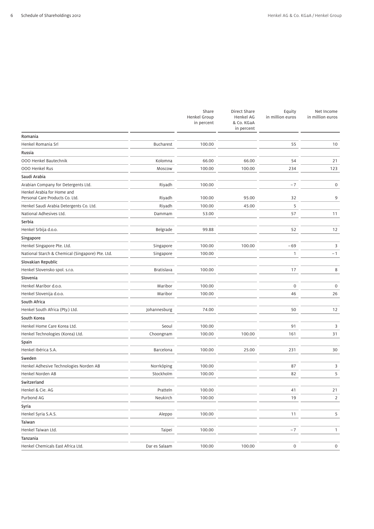|                                                               |                   | Share<br><b>Henkel Group</b><br>in percent | Direct Share<br>Henkel AG<br>& Co. KGaA<br>in percent | Equity<br>in million euros | Net Income<br>in million euros |
|---------------------------------------------------------------|-------------------|--------------------------------------------|-------------------------------------------------------|----------------------------|--------------------------------|
| Romania                                                       |                   |                                            |                                                       |                            |                                |
| Henkel Romania Srl                                            | <b>Bucharest</b>  | 100.00                                     |                                                       | 55                         | 10                             |
| Russia                                                        |                   |                                            |                                                       |                            |                                |
| 000 Henkel Bautechnik                                         | Kolomna           | 66.00                                      | 66.00                                                 | 54                         | 21                             |
| 000 Henkel Rus                                                | Moscow            | 100.00                                     | 100.00                                                | 234                        | 123                            |
| Saudi Arabia                                                  |                   |                                            |                                                       |                            |                                |
| Arabian Company for Detergents Ltd.                           | Riyadh            | 100.00                                     |                                                       | $-7$                       | $\mathsf{O}\xspace$            |
| Henkel Arabia for Home and<br>Personal Care Products Co. Ltd. | Riyadh            | 100.00                                     | 95.00                                                 | 32                         | 9                              |
| Henkel Saudi Arabia Detergents Co. Ltd.                       | Riyadh            | 100.00                                     | 45.00                                                 | 5                          |                                |
| National Adhesives Ltd.                                       | Dammam            | 53.00                                      |                                                       | 57                         | 11                             |
| Serbia                                                        |                   |                                            |                                                       |                            |                                |
| Henkel Srbija d.o.o.                                          | Belgrade          | 99.88                                      |                                                       | 52                         | 12                             |
| Singapore                                                     |                   |                                            |                                                       |                            |                                |
| Henkel Singapore Pte. Ltd.                                    | Singapore         | 100.00                                     | 100.00                                                | $-69$                      | 3                              |
| National Starch & Chemical (Singapore) Pte. Ltd.              | Singapore         | 100.00                                     |                                                       | $\mathbf{1}$               | $-1$                           |
| Slovakian Republic                                            |                   |                                            |                                                       |                            |                                |
| Henkel Slovensko spol. s.r.o.                                 | <b>Bratislava</b> | 100.00                                     |                                                       | 17                         | 8                              |
| Slovenia                                                      |                   |                                            |                                                       |                            |                                |
| Henkel Maribor d.o.o.                                         | Maribor           | 100.00                                     |                                                       | 0                          | $\mathsf{O}\xspace$            |
| Henkel Slovenija d.o.o.                                       | Maribor           | 100.00                                     |                                                       | 46                         | 26                             |
| South Africa                                                  |                   |                                            |                                                       |                            |                                |
| Henkel South Africa (Pty.) Ltd.                               | Johannesburg      | 74.00                                      |                                                       | 50                         | 12                             |
| South Korea                                                   |                   |                                            |                                                       |                            |                                |
| Henkel Home Care Korea Ltd.                                   | Seoul             | 100.00                                     |                                                       | 91                         | 3                              |
| Henkel Technologies (Korea) Ltd.                              | Choongnam         | 100.00                                     | 100.00                                                | 161                        | 31                             |
| Spain                                                         |                   |                                            |                                                       |                            |                                |
| Henkel Ibérica S.A.                                           | Barcelona         | 100.00                                     | 25.00                                                 | 231                        | 30                             |
| Sweden                                                        |                   |                                            |                                                       |                            |                                |
| Henkel Adhesive Technologies Norden AB                        | Norrköping        | 100.00                                     |                                                       | 87                         | 3                              |
| Henkel Norden AB                                              | Stockholm         | 100.00                                     |                                                       | 82                         | 5                              |
| Switzerland                                                   |                   |                                            |                                                       |                            |                                |
| Henkel & Cie. AG                                              | Pratteln          | 100.00                                     |                                                       | 41                         | 21                             |
| Purbond AG                                                    | Neukirch          | 100.00                                     |                                                       | 19                         | 2                              |
| Syria                                                         |                   |                                            |                                                       |                            |                                |
| Henkel Syria S.A.S.                                           | Aleppo            | 100.00                                     |                                                       | 11                         | 5                              |
| Taiwan                                                        |                   |                                            |                                                       |                            |                                |
| Henkel Taiwan Ltd.                                            | Taipei            | 100.00                                     |                                                       | $-7$                       | $\mathbf{1}$                   |
| Tanzania                                                      |                   |                                            |                                                       |                            |                                |
| Henkel Chemicals East Africa Ltd.                             | Dar es Salaam     | 100.00                                     | 100.00                                                | $\mathsf{O}\xspace$        | 0                              |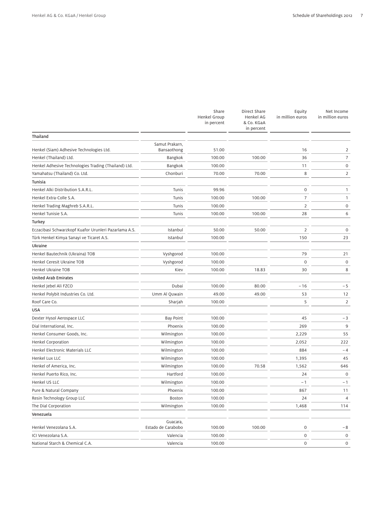|                                                       |                                | Share<br><b>Henkel Group</b><br>in percent | Direct Share<br><b>Henkel AG</b><br>& Co. KGaA<br>in percent | Equity<br>in million euros | Net Income<br>in million euros |
|-------------------------------------------------------|--------------------------------|--------------------------------------------|--------------------------------------------------------------|----------------------------|--------------------------------|
| Thailand                                              |                                |                                            |                                                              |                            |                                |
| Henkel (Siam) Adhesive Technologies Ltd.              | Samut Prakarn,<br>Bansaothong  | 51.00                                      |                                                              | 16                         | 2                              |
| Henkel (Thailand) Ltd.                                | Bangkok                        | 100.00                                     | 100.00                                                       | 36                         | 7                              |
| Henkel Adhesive Technologies Trading (Thailand) Ltd.  | Bangkok                        | 100.00                                     |                                                              | 11                         | $\mathbf 0$                    |
| Yamahatsu (Thailand) Co. Ltd.                         | Chonburi                       | 70.00                                      | 70.00                                                        | 8                          | 2                              |
| <b>Tunisia</b>                                        |                                |                                            |                                                              |                            |                                |
| Henkel Alki Distribution S.A.R.L.                     | Tunis                          | 99.96                                      |                                                              | $\mathbf 0$                | 1                              |
| Henkel Extra-Colle S.A.                               | Tunis                          | 100.00                                     | 100.00                                                       | $\overline{7}$             | 1                              |
| Henkel Trading Maghreb S.A.R.L.                       | Tunis                          | 100.00                                     |                                                              | $\overline{2}$             | $\mathbf 0$                    |
| Henkel Tunisie S.A.                                   | Tunis                          | 100.00                                     | 100.00                                                       | 28                         | 6                              |
| Turkey                                                |                                |                                            |                                                              |                            |                                |
| Eczacibasi Schwarzkopf Kuafor Urunleri Pazarlama A.S. | Istanbul                       | 50.00                                      | 50.00                                                        | $\overline{2}$             | 0                              |
| Türk Henkel Kimya Sanayi ve Ticaret A.S.              | Istanbul                       | 100.00                                     |                                                              | 150                        | 23                             |
| Ukraine                                               |                                |                                            |                                                              |                            |                                |
| Henkel Bautechnik (Ukraina) TOB                       | Vyshgorod                      | 100.00                                     |                                                              | 79                         | 21                             |
| Henkel Ceresit Ukraine TOB                            | Vyshgorod                      | 100.00                                     |                                                              | $\mathbf 0$                | $\mathbf 0$                    |
| Henkel Ukraine TOB                                    | Kiev                           | 100.00                                     | 18.83                                                        | 30                         | 8                              |
| United Arab Emirates                                  |                                |                                            |                                                              |                            |                                |
| Henkel Jebel Ali FZCO                                 | Dubai                          | 100.00                                     | 80.00                                                        | $-16$                      | $-5$                           |
| Henkel Polybit Industries Co. Ltd.                    | Umm Al Quwain                  | 49.00                                      | 49.00                                                        | 53                         | 12                             |
| Roof Care Co.                                         | Sharjah                        | 100.00                                     |                                                              | 5                          | $\overline{2}$                 |
| USA                                                   |                                |                                            |                                                              |                            |                                |
| Dexter Hysol Aerospace LLC                            | <b>Bay Point</b>               | 100.00                                     |                                                              | 45                         | $-3$                           |
| Dial International, Inc.                              | Phoenix                        | 100.00                                     |                                                              | 269                        | 9                              |
| Henkel Consumer Goods, Inc.                           | Wilmington                     | 100.00                                     |                                                              | 2,229                      | 55                             |
| Henkel Corporation                                    | Wilmington                     | 100.00                                     |                                                              | 2,052                      | 222                            |
| Henkel Electronic Materials LLC                       | Wilmington                     | 100.00                                     |                                                              | 884                        | $-4$                           |
| Henkel Lux LLC                                        | Wilmington                     | 100.00                                     |                                                              | 1,395                      | 45                             |
| Henkel of America, Inc.                               | Wilmington                     | 100.00                                     | 70.58                                                        | 1,562                      | 646                            |
| Henkel Puerto Rico, Inc.                              | Hartford                       | 100.00                                     |                                                              | 24                         | 0                              |
| Henkel US LLC                                         | Wilmington                     | 100.00                                     |                                                              | $-1$                       | $-1$                           |
| Pure & Natural Company                                | Phoenix                        | 100.00                                     |                                                              | 867                        | 11                             |
| Resin Technology Group LLC                            | <b>Boston</b>                  | 100.00                                     |                                                              | 24                         | 4                              |
| The Dial Corporation                                  | Wilmington                     | 100.00                                     |                                                              | 1,468                      | 114                            |
| Venezuela                                             |                                |                                            |                                                              |                            |                                |
| Henkel Venezolana S.A.                                | Guacara,<br>Estado de Carabobo | 100.00                                     | 100.00                                                       | $\boldsymbol{0}$           | $-8$                           |
| ICI Venezolana S.A.                                   | Valencia                       | 100.00                                     |                                                              | $\mathbf 0$                | 0                              |
| National Starch & Chemical C.A.                       | Valencia                       | 100.00                                     |                                                              | $\mathsf{O}\xspace$        | 0                              |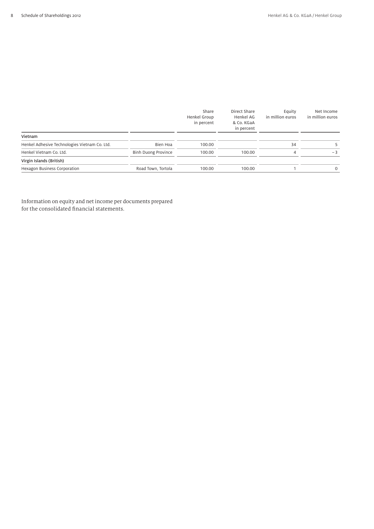|                                               |                            | Share<br>Henkel Group<br>in percent | Direct Share<br>Henkel AG<br>& Co. KGaA<br>in percent | Equity<br>in million euros | Net Income<br>in million euros |
|-----------------------------------------------|----------------------------|-------------------------------------|-------------------------------------------------------|----------------------------|--------------------------------|
| Vietnam                                       |                            |                                     |                                                       |                            |                                |
| Henkel Adhesive Technologies Vietnam Co. Ltd. | Bien Hoa                   | 100.00                              |                                                       | 34                         |                                |
| Henkel Vietnam Co. Ltd.                       | <b>Binh Duong Province</b> | 100.00                              | 100.00                                                | 4                          | $-3$                           |
| Virgin Islands (British)                      |                            |                                     |                                                       |                            |                                |
| Hexagon Business Corporation                  | Road Town, Tortola         | 100.00                              | 100.00                                                |                            | 0                              |

Information on equity and net income per documents prepared for the consolidated financial statements.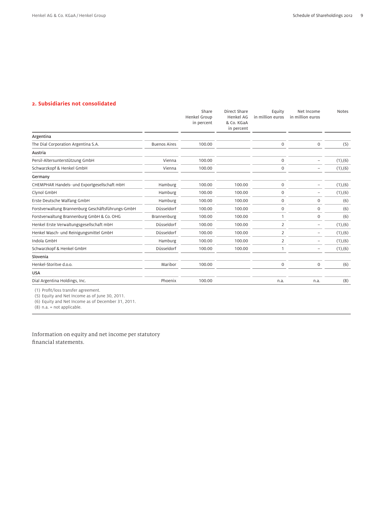## **2. Subsidiaries not consolidated**

|                                                    |                     | Share<br><b>Henkel Group</b> | Direct Share<br><b>Henkel AG</b> | Equity<br>in million euros | Net Income<br>in million euros | <b>Notes</b>  |
|----------------------------------------------------|---------------------|------------------------------|----------------------------------|----------------------------|--------------------------------|---------------|
|                                                    |                     | in percent                   | & Co. KGaA<br>in percent         |                            |                                |               |
| Argentina                                          |                     |                              |                                  |                            |                                |               |
| The Dial Corporation Argentina S.A.                | <b>Buenos Aires</b> | 100.00                       |                                  | $\boldsymbol{0}$           | $\mathbf 0$                    | (5)           |
| Austria                                            |                     |                              |                                  |                            |                                |               |
| Persil-Altersunterstützung GmbH                    | Vienna              | 100.00                       |                                  | $\mathbf 0$                |                                | (1), (6)      |
| Schwarzkopf & Henkel GmbH                          | Vienna              | 100.00                       |                                  | $\Omega$                   |                                | (1),(6)       |
| Germany                                            |                     |                              |                                  |                            |                                |               |
| CHEMPHAR Handels- und Exportgesellschaft mbH       | Hamburg             | 100.00                       | 100.00                           | $\mathbf 0$                |                                | $(1)$ , $(6)$ |
| Clynol GmbH                                        | Hamburg             | 100.00                       | 100.00                           | $\mathbf 0$                |                                | $(1)$ , $(6)$ |
| Erste Deutsche Walfang GmbH                        | Hamburg             | 100.00                       | 100.00                           | $\mathbf 0$                | $\mathbf 0$                    | (6)           |
| Forstverwaltung Brannenburg Geschäftsführungs-GmbH | Düsseldorf          | 100.00                       | 100.00                           | $\mathbf 0$                | $\mathbf 0$                    | (6)           |
| Forstverwaltung Brannenburg GmbH & Co. OHG         | Brannenburg         | 100.00                       | 100.00                           |                            | $\mathbf 0$                    | (6)           |
| Henkel Erste Verwaltungsgesellschaft mbH           | Düsseldorf          | 100.00                       | 100.00                           | $\overline{2}$             |                                | $(1)$ , $(6)$ |
| Henkel Wasch- und Reinigungsmittel GmbH            | Düsseldorf          | 100.00                       | 100.00                           | 2                          | -                              | $(1)$ , $(6)$ |
| Indola GmbH                                        | Hamburg             | 100.00                       | 100.00                           | 2                          | $\overline{\phantom{0}}$       | (1), (6)      |
| Schwarzkopf & Henkel GmbH                          | Düsseldorf          | 100.00                       | 100.00                           |                            |                                | (1), (6)      |
| Slovenia                                           |                     |                              |                                  |                            |                                |               |
| Henkel-Storitve d.o.o.                             | Maribor             | 100.00                       |                                  | $\mathbf 0$                | $\mathsf{O}\xspace$            | (6)           |
| <b>USA</b>                                         |                     |                              |                                  |                            |                                |               |
| Dial Argentina Holdings, Inc.                      | Phoenix             | 100.00                       |                                  | n.a.                       | n.a.                           | (8)           |

(1) Profit/loss transfer agreement.

(5) Equity and Net Income as of June 30, 2011.

(6) Equity and Net Income as of December 31, 2011.

 $(8)$  n.a. = not applicable.

Information on equity and net income per statutory financial statements.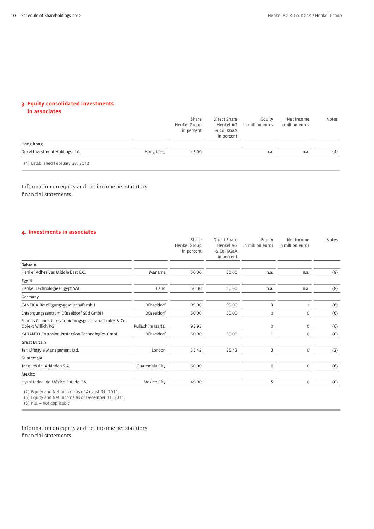# **3. Equity consolidated investments**

#### **in associates**

|                                    |           | Share<br>Henkel Group<br>in percent | Direct Share<br>& Co. KGaA<br>in percent | Eauity<br>Henkel AG in million euros in million euros | Net Income | <b>Notes</b> |
|------------------------------------|-----------|-------------------------------------|------------------------------------------|-------------------------------------------------------|------------|--------------|
| Hong Kong                          |           |                                     |                                          |                                                       |            |              |
| Dekel Investment Holdings Ltd.     | Hong Kong | 45.00                               |                                          | n.a.                                                  | n.a.       | (4)          |
| (4) Established February 23, 2012. |           |                                     |                                          |                                                       |            |              |

Information on equity and net income per statutory financial statements.

## **4. Investments in associates**

|                                                                          |                    | Share<br><b>Henkel Group</b><br>in percent | Direct Share<br>Henkel AG<br>& Co. KGaA<br>in percent | Equity<br>in million euros | Net Income<br>in million euros | <b>Notes</b> |
|--------------------------------------------------------------------------|--------------------|--------------------------------------------|-------------------------------------------------------|----------------------------|--------------------------------|--------------|
| <b>Bahrain</b>                                                           |                    |                                            |                                                       |                            |                                |              |
| Henkel Adhesives Middle East E.C.                                        | Manama             | 50.00                                      | 50.00                                                 | n.a.                       | n.a.                           | (8)          |
| Egypt                                                                    |                    |                                            |                                                       |                            |                                |              |
| Henkel Technologies Egypt SAE                                            | Cairo              | 50.00                                      | 50.00                                                 | n.a.                       | n.a.                           | (8)          |
| Germany                                                                  |                    |                                            |                                                       |                            |                                |              |
| CANTICA Beteiligungsgesellschaft mbH                                     | Düsseldorf         | 99.00                                      | 99.00                                                 | 3                          | 1                              | (6)          |
| Entsorgungszentrum Düsseldorf Süd GmbH                                   | Düsseldorf         | 50.00                                      | 50.00                                                 | 0                          | $\mathbf 0$                    | (6)          |
| Fandus Grundstücksvermietungsgesellschaft mbH & Co.<br>Objekt Willich KG | Pullach im Isartal | 98.95                                      |                                                       | $\mathbf 0$                | $\mathbf 0$                    | (6)          |
| KARANTO Corrosion Protection Technologies GmbH                           | Düsseldorf         | 50.00                                      | 50.00                                                 |                            | $\mathbf 0$                    | (6)          |
| <b>Great Britain</b>                                                     |                    |                                            |                                                       |                            |                                |              |
| Ten Lifestyle Management Ltd.                                            | London             | 35.42                                      | 35.42                                                 | 3                          | $\mathbf 0$                    | (2)          |
| Guatemala                                                                |                    |                                            |                                                       |                            |                                |              |
| Tanques del Atlántico S.A.                                               | Guatemala City     | 50.00                                      |                                                       | $\mathbf 0$                | $\mathbf 0$                    | (6)          |
| Mexico                                                                   |                    |                                            |                                                       |                            |                                |              |
| Hysol Indael de México S.A. de C.V.                                      | Mexico City        | 49.00                                      |                                                       | 5                          | $\mathbf 0$                    | (6)          |

(2) Equity and Net Income as of August 31, 2011.

(6) Equity and Net Income as of December 31, 2011.

(8) n.a. = not applicable.

Information on equity and net income per statutory financial statements.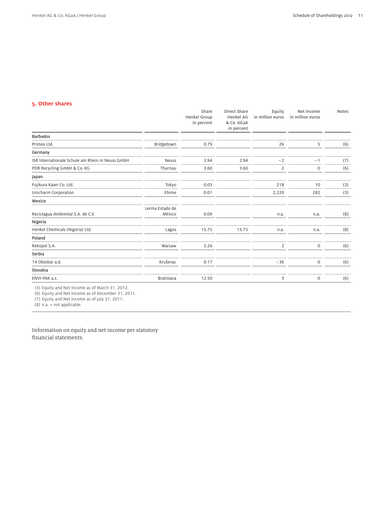## **5. Other shares**

|                                                  |                 | Share<br><b>Henkel Group</b> | Direct Share<br><b>Henkel AG</b><br>& Co. KGaA | Equity<br>in million euros | Net Income<br>in million euros | Notes |
|--------------------------------------------------|-----------------|------------------------------|------------------------------------------------|----------------------------|--------------------------------|-------|
|                                                  |                 | in percent                   | in percent                                     |                            |                                |       |
| <b>Barbados</b>                                  |                 |                              |                                                |                            |                                |       |
| Primex Ltd.                                      | Bridgetown      | 0.79                         |                                                | 26                         | 5                              | (6)   |
| Germany                                          |                 |                              |                                                |                            |                                |       |
| ISR Internationale Schule am Rhein in Neuss GmbH | <b>Neuss</b>    | 2.94                         | 2.94                                           | $-2$                       | $-1$                           | (7)   |
| PDR Recycling GmbH & Co. KG                      | Thurnau         | 3.60                         | 3.60                                           | $\overline{2}$             | $\mathsf{O}\xspace$            | (6)   |
| Japan                                            |                 |                              |                                                |                            |                                |       |
| Fujikura Kasei Co. Ltd.                          | Tokyo           | 0.03                         |                                                | 218                        | 10                             | (3)   |
| Unicharm Corporation                             | Ehime           | 0.01                         |                                                | 2,220                      | 282                            | (3)   |
| Mexico                                           |                 |                              |                                                |                            |                                |       |
|                                                  | Lerma Estado de |                              |                                                |                            |                                |       |
| Reciclagua Ambiental S.A. de C.V.                | México          | 0.09                         |                                                | n.a.                       | n.a.                           | (8)   |
| Nigeria                                          |                 |                              |                                                |                            |                                |       |
| Henkel Chemicals (Nigeria) Ltd.                  | Lagos           | 15.75                        | 15.75                                          | n.a.                       | n.a.                           | (8)   |
| Poland                                           |                 |                              |                                                |                            |                                |       |
| Rekopol S.A.                                     | Warsaw          | 5.26                         |                                                | 2                          | $\mathsf{O}\xspace$            | (6)   |
| Serbia                                           |                 |                              |                                                |                            |                                |       |
| 14 Oktobar a.d.                                  | Kruševac        | 0.17                         |                                                | $-36$                      | $\mathsf{O}\xspace$            | (6)   |
| Slovakia                                         |                 |                              |                                                |                            |                                |       |
| ENVI-PAK a.s.                                    | Bratislava      | 12.50                        |                                                | 3                          | $\mathsf{O}\xspace$            | (6)   |

(3) Equity and Net Income as of March 31, 2012.

(6) Equity and Net Income as of December 31, 2011.

(7) Equity and Net Income as of July 31, 2011.

(8) n.a. = not applicable.

Information on equity and net income per statutory financial statements.